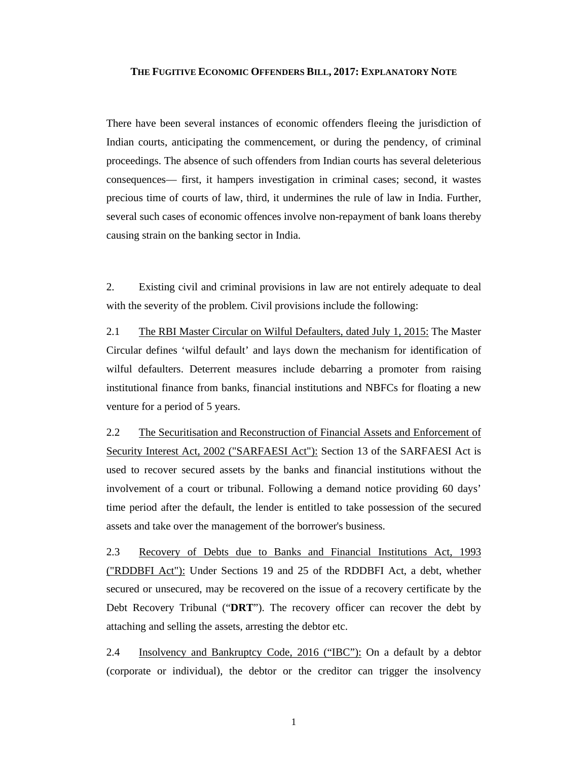## **THE FUGITIVE ECONOMIC OFFENDERS BILL, 2017: EXPLANATORY NOTE**

There have been several instances of economic offenders fleeing the jurisdiction of Indian courts, anticipating the commencement, or during the pendency, of criminal proceedings. The absence of such offenders from Indian courts has several deleterious consequences— first, it hampers investigation in criminal cases; second, it wastes precious time of courts of law, third, it undermines the rule of law in India. Further, several such cases of economic offences involve non-repayment of bank loans thereby causing strain on the banking sector in India.

2. Existing civil and criminal provisions in law are not entirely adequate to deal with the severity of the problem. Civil provisions include the following:

2.1 The RBI Master Circular on Wilful Defaulters, dated July 1, 2015: The Master Circular defines 'wilful default' and lays down the mechanism for identification of wilful defaulters. Deterrent measures include debarring a promoter from raising institutional finance from banks, financial institutions and NBFCs for floating a new venture for a period of 5 years.

2.2 The Securitisation and Reconstruction of Financial Assets and Enforcement of Security Interest Act, 2002 ("SARFAESI Act"): Section 13 of the SARFAESI Act is used to recover secured assets by the banks and financial institutions without the involvement of a court or tribunal. Following a demand notice providing 60 days' time period after the default, the lender is entitled to take possession of the secured assets and take over the management of the borrower's business.

2.3 Recovery of Debts due to Banks and Financial Institutions Act, 1993 ("RDDBFI Act"): Under Sections 19 and 25 of the RDDBFI Act, a debt, whether secured or unsecured, may be recovered on the issue of a recovery certificate by the Debt Recovery Tribunal ("**DRT**"). The recovery officer can recover the debt by attaching and selling the assets, arresting the debtor etc.

2.4 Insolvency and Bankruptcy Code, 2016 ("IBC"): On a default by a debtor (corporate or individual), the debtor or the creditor can trigger the insolvency

1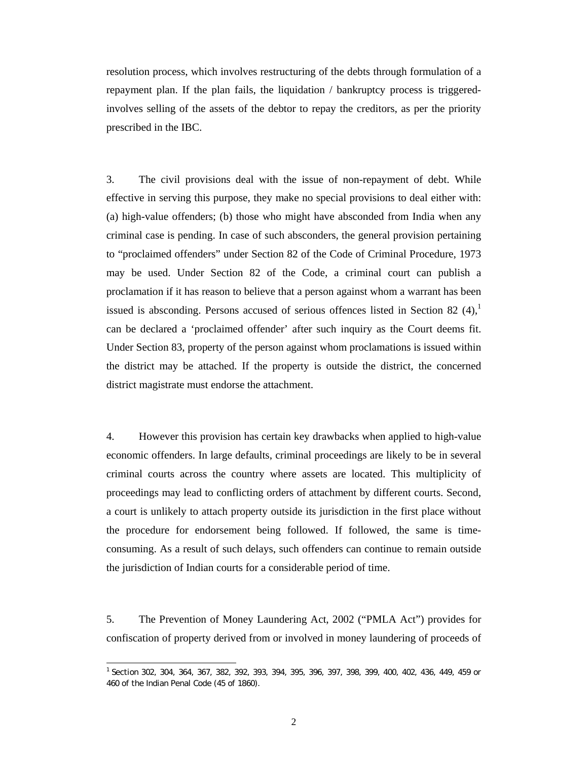resolution process, which involves restructuring of the debts through formulation of a repayment plan. If the plan fails, the liquidation / bankruptcy process is triggeredinvolves selling of the assets of the debtor to repay the creditors, as per the priority prescribed in the IBC.

3. The civil provisions deal with the issue of non-repayment of debt. While effective in serving this purpose, they make no special provisions to deal either with: (a) high-value offenders; (b) those who might have absconded from India when any criminal case is pending. In case of such absconders, the general provision pertaining to "proclaimed offenders" under Section 82 of the Code of Criminal Procedure, 1973 may be used. Under Section 82 of the Code, a criminal court can publish a proclamation if it has reason to believe that a person against whom a warrant has been issued is absconding. Persons accused of serious offences listed in Section 82  $(4)$ , can be declared a 'proclaimed offender' after such inquiry as the Court deems fit. Under Section 83, property of the person against whom proclamations is issued within the district may be attached. If the property is outside the district, the concerned district magistrate must endorse the attachment.

4. However this provision has certain key drawbacks when applied to high-value economic offenders. In large defaults, criminal proceedings are likely to be in several criminal courts across the country where assets are located. This multiplicity of proceedings may lead to conflicting orders of attachment by different courts. Second, a court is unlikely to attach property outside its jurisdiction in the first place without the procedure for endorsement being followed. If followed, the same is timeconsuming. As a result of such delays, such offenders can continue to remain outside the jurisdiction of Indian courts for a considerable period of time.

5. The Prevention of Money Laundering Act, 2002 ("PMLA Act") provides for confiscation of property derived from or involved in money laundering of proceeds of

 1 Section 302, 304, 364, 367, 382, 392, 393, 394, 395, 396, 397, 398, 399, 400, 402, 436, 449, 459 or 460 of the Indian Penal Code (45 of 1860).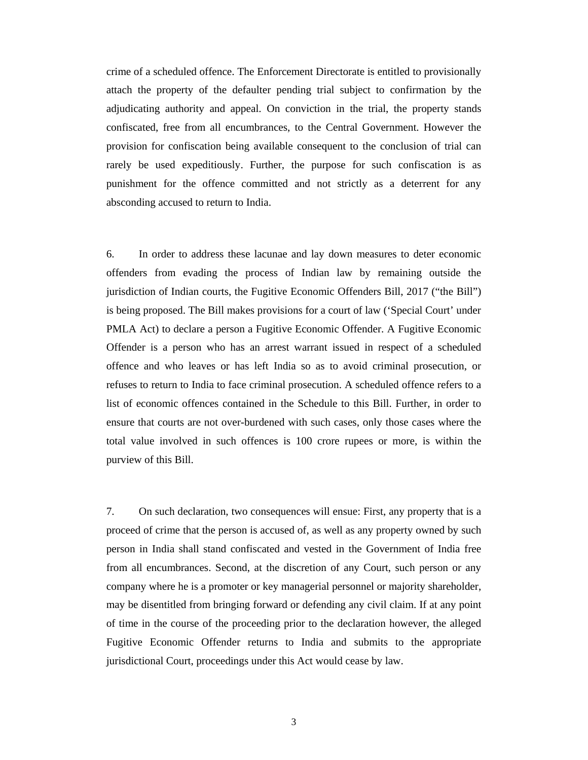crime of a scheduled offence. The Enforcement Directorate is entitled to provisionally attach the property of the defaulter pending trial subject to confirmation by the adjudicating authority and appeal. On conviction in the trial, the property stands confiscated, free from all encumbrances, to the Central Government. However the provision for confiscation being available consequent to the conclusion of trial can rarely be used expeditiously. Further, the purpose for such confiscation is as punishment for the offence committed and not strictly as a deterrent for any absconding accused to return to India.

6. In order to address these lacunae and lay down measures to deter economic offenders from evading the process of Indian law by remaining outside the jurisdiction of Indian courts, the Fugitive Economic Offenders Bill, 2017 ("the Bill") is being proposed. The Bill makes provisions for a court of law ('Special Court' under PMLA Act) to declare a person a Fugitive Economic Offender. A Fugitive Economic Offender is a person who has an arrest warrant issued in respect of a scheduled offence and who leaves or has left India so as to avoid criminal prosecution, or refuses to return to India to face criminal prosecution. A scheduled offence refers to a list of economic offences contained in the Schedule to this Bill. Further, in order to ensure that courts are not over-burdened with such cases, only those cases where the total value involved in such offences is 100 crore rupees or more, is within the purview of this Bill.

7. On such declaration, two consequences will ensue: First, any property that is a proceed of crime that the person is accused of, as well as any property owned by such person in India shall stand confiscated and vested in the Government of India free from all encumbrances. Second, at the discretion of any Court, such person or any company where he is a promoter or key managerial personnel or majority shareholder, may be disentitled from bringing forward or defending any civil claim. If at any point of time in the course of the proceeding prior to the declaration however, the alleged Fugitive Economic Offender returns to India and submits to the appropriate jurisdictional Court, proceedings under this Act would cease by law.